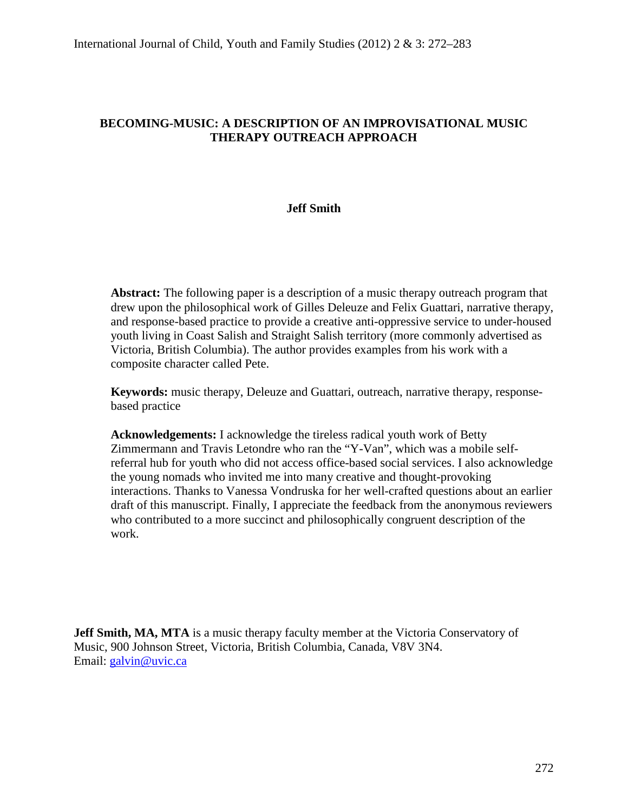# **BECOMING-MUSIC: A DESCRIPTION OF AN IMPROVISATIONAL MUSIC THERAPY OUTREACH APPROACH**

# **Jeff Smith**

**Abstract:** The following paper is a description of a music therapy outreach program that drew upon the philosophical work of Gilles Deleuze and Felix Guattari, narrative therapy, and response-based practice to provide a creative anti-oppressive service to under-housed youth living in Coast Salish and Straight Salish territory (more commonly advertised as Victoria, British Columbia). The author provides examples from his work with a composite character called Pete.

**Keywords:** music therapy, Deleuze and Guattari, outreach, narrative therapy, responsebased practice

**Acknowledgements:** I acknowledge the tireless radical youth work of Betty Zimmermann and Travis Letondre who ran the "Y-Van", which was a mobile selfreferral hub for youth who did not access office-based social services. I also acknowledge the young nomads who invited me into many creative and thought-provoking interactions. Thanks to Vanessa Vondruska for her well-crafted questions about an earlier draft of this manuscript. Finally, I appreciate the feedback from the anonymous reviewers who contributed to a more succinct and philosophically congruent description of the work.

**Jeff Smith, MA, MTA** is a music therapy faculty member at the Victoria Conservatory of Music, 900 Johnson Street, Victoria, British Columbia, Canada, V8V 3N4. Email: galvin@uvic.ca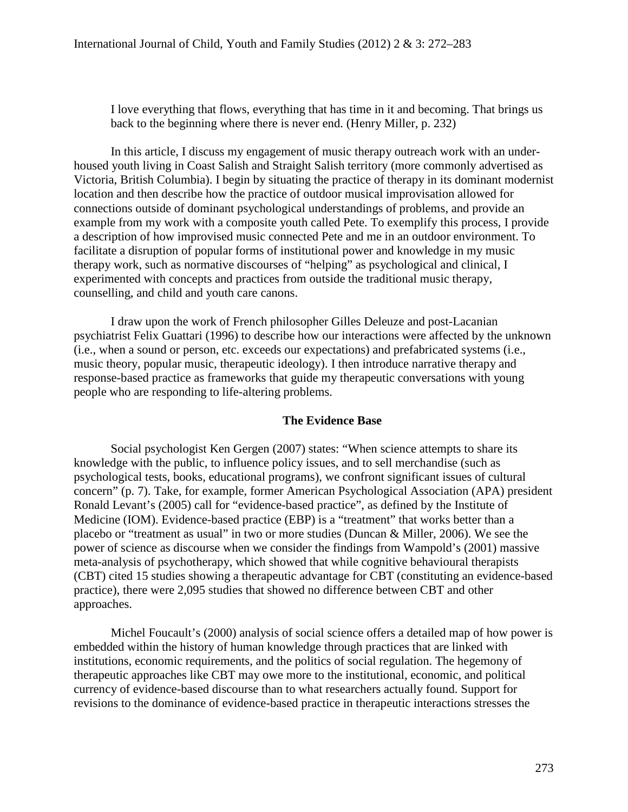I love everything that flows, everything that has time in it and becoming. That brings us back to the beginning where there is never end. (Henry Miller, p. 232)

In this article, I discuss my engagement of music therapy outreach work with an underhoused youth living in Coast Salish and Straight Salish territory (more commonly advertised as Victoria, British Columbia). I begin by situating the practice of therapy in its dominant modernist location and then describe how the practice of outdoor musical improvisation allowed for connections outside of dominant psychological understandings of problems, and provide an example from my work with a composite youth called Pete. To exemplify this process, I provide a description of how improvised music connected Pete and me in an outdoor environment. To facilitate a disruption of popular forms of institutional power and knowledge in my music therapy work, such as normative discourses of "helping" as psychological and clinical, I experimented with concepts and practices from outside the traditional music therapy, counselling, and child and youth care canons.

I draw upon the work of French philosopher Gilles Deleuze and post-Lacanian psychiatrist Felix Guattari (1996) to describe how our interactions were affected by the unknown (i.e., when a sound or person, etc. exceeds our expectations) and prefabricated systems (i.e., music theory, popular music, therapeutic ideology). I then introduce narrative therapy and response-based practice as frameworks that guide my therapeutic conversations with young people who are responding to life-altering problems.

### **The Evidence Base**

Social psychologist Ken Gergen (2007) states: "When science attempts to share its knowledge with the public, to influence policy issues, and to sell merchandise (such as psychological tests, books, educational programs), we confront significant issues of cultural concern" (p. 7). Take, for example, former American Psychological Association (APA) president Ronald Levant's (2005) call for "evidence-based practice", as defined by the Institute of Medicine (IOM). Evidence-based practice (EBP) is a "treatment" that works better than a placebo or "treatment as usual" in two or more studies (Duncan & Miller, 2006). We see the power of science as discourse when we consider the findings from Wampold's (2001) massive meta-analysis of psychotherapy, which showed that while cognitive behavioural therapists (CBT) cited 15 studies showing a therapeutic advantage for CBT (constituting an evidence-based practice), there were 2,095 studies that showed no difference between CBT and other approaches.

Michel Foucault's (2000) analysis of social science offers a detailed map of how power is embedded within the history of human knowledge through practices that are linked with institutions, economic requirements, and the politics of social regulation. The hegemony of therapeutic approaches like CBT may owe more to the institutional, economic, and political currency of evidence-based discourse than to what researchers actually found. Support for revisions to the dominance of evidence-based practice in therapeutic interactions stresses the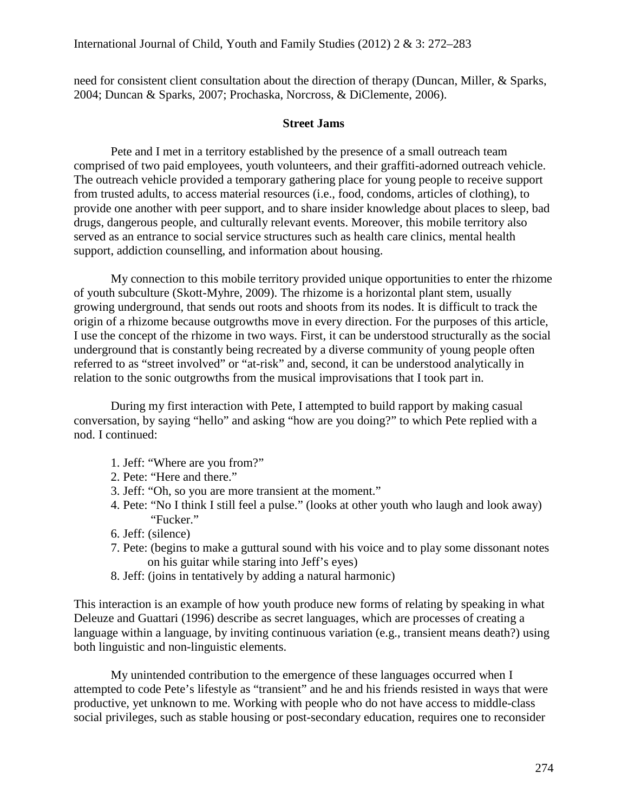need for consistent client consultation about the direction of therapy (Duncan, Miller, & Sparks, 2004; Duncan & Sparks, 2007; Prochaska, Norcross, & DiClemente, 2006).

## **Street Jams**

Pete and I met in a territory established by the presence of a small outreach team comprised of two paid employees, youth volunteers, and their graffiti-adorned outreach vehicle. The outreach vehicle provided a temporary gathering place for young people to receive support from trusted adults, to access material resources (i.e., food, condoms, articles of clothing), to provide one another with peer support, and to share insider knowledge about places to sleep, bad drugs, dangerous people, and culturally relevant events. Moreover, this mobile territory also served as an entrance to social service structures such as health care clinics, mental health support, addiction counselling, and information about housing.

My connection to this mobile territory provided unique opportunities to enter the rhizome of youth subculture (Skott-Myhre, 2009). The rhizome is a horizontal plant stem, usually growing underground, that sends out roots and shoots from its nodes. It is difficult to track the origin of a rhizome because outgrowths move in every direction. For the purposes of this article, I use the concept of the rhizome in two ways. First, it can be understood structurally as the social underground that is constantly being recreated by a diverse community of young people often referred to as "street involved" or "at-risk" and, second, it can be understood analytically in relation to the sonic outgrowths from the musical improvisations that I took part in.

During my first interaction with Pete, I attempted to build rapport by making casual conversation, by saying "hello" and asking "how are you doing?" to which Pete replied with a nod. I continued:

- 1. Jeff: "Where are you from?"
- 2. Pete: "Here and there."
- 3. Jeff: "Oh, so you are more transient at the moment."
- 4. Pete: "No I think I still feel a pulse." (looks at other youth who laugh and look away) "Fucker."
- 6. Jeff: (silence)
- 7. Pete: (begins to make a guttural sound with his voice and to play some dissonant notes on his guitar while staring into Jeff's eyes)
- 8. Jeff: (joins in tentatively by adding a natural harmonic)

This interaction is an example of how youth produce new forms of relating by speaking in what Deleuze and Guattari (1996) describe as secret languages, which are processes of creating a language within a language, by inviting continuous variation (e.g., transient means death?) using both linguistic and non-linguistic elements.

My unintended contribution to the emergence of these languages occurred when I attempted to code Pete's lifestyle as "transient" and he and his friends resisted in ways that were productive, yet unknown to me. Working with people who do not have access to middle-class social privileges, such as stable housing or post-secondary education, requires one to reconsider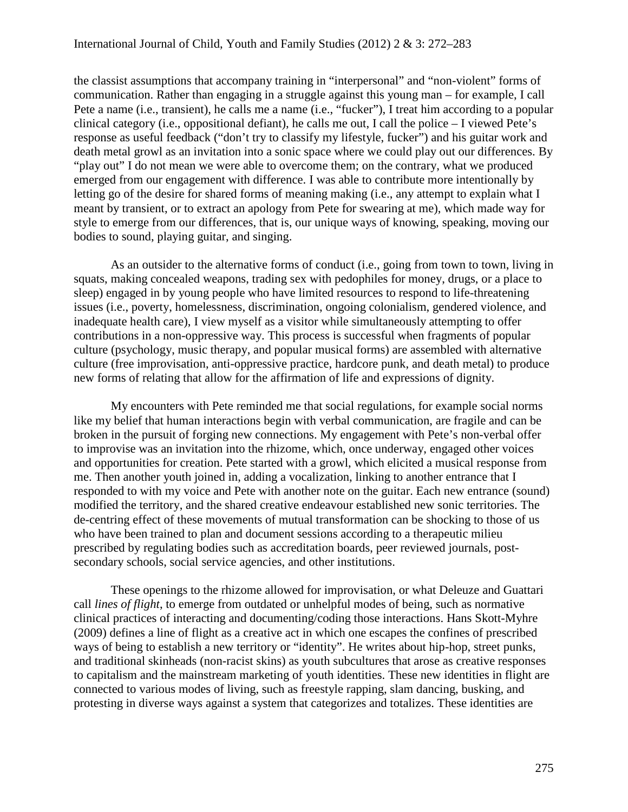the classist assumptions that accompany training in "interpersonal" and "non-violent" forms of communication. Rather than engaging in a struggle against this young man – for example, I call Pete a name (i.e., transient), he calls me a name (i.e., "fucker"), I treat him according to a popular clinical category (i.e., oppositional defiant), he calls me out, I call the police – I viewed Pete's response as useful feedback ("don't try to classify my lifestyle, fucker") and his guitar work and death metal growl as an invitation into a sonic space where we could play out our differences. By "play out" I do not mean we were able to overcome them; on the contrary, what we produced emerged from our engagement with difference. I was able to contribute more intentionally by letting go of the desire for shared forms of meaning making (i.e., any attempt to explain what I meant by transient, or to extract an apology from Pete for swearing at me), which made way for style to emerge from our differences, that is, our unique ways of knowing, speaking, moving our bodies to sound, playing guitar, and singing.

As an outsider to the alternative forms of conduct (i.e., going from town to town, living in squats, making concealed weapons, trading sex with pedophiles for money, drugs, or a place to sleep) engaged in by young people who have limited resources to respond to life-threatening issues (i.e., poverty, homelessness, discrimination, ongoing colonialism, gendered violence, and inadequate health care), I view myself as a visitor while simultaneously attempting to offer contributions in a non-oppressive way. This process is successful when fragments of popular culture (psychology, music therapy, and popular musical forms) are assembled with alternative culture (free improvisation, anti-oppressive practice, hardcore punk, and death metal) to produce new forms of relating that allow for the affirmation of life and expressions of dignity.

My encounters with Pete reminded me that social regulations, for example social norms like my belief that human interactions begin with verbal communication, are fragile and can be broken in the pursuit of forging new connections. My engagement with Pete's non-verbal offer to improvise was an invitation into the rhizome, which, once underway, engaged other voices and opportunities for creation. Pete started with a growl, which elicited a musical response from me. Then another youth joined in, adding a vocalization, linking to another entrance that I responded to with my voice and Pete with another note on the guitar. Each new entrance (sound) modified the territory, and the shared creative endeavour established new sonic territories. The de-centring effect of these movements of mutual transformation can be shocking to those of us who have been trained to plan and document sessions according to a therapeutic milieu prescribed by regulating bodies such as accreditation boards, peer reviewed journals, postsecondary schools, social service agencies, and other institutions.

These openings to the rhizome allowed for improvisation, or what Deleuze and Guattari call *lines of flight*, to emerge from outdated or unhelpful modes of being, such as normative clinical practices of interacting and documenting/coding those interactions. Hans Skott-Myhre (2009) defines a line of flight as a creative act in which one escapes the confines of prescribed ways of being to establish a new territory or "identity". He writes about hip-hop, street punks, and traditional skinheads (non-racist skins) as youth subcultures that arose as creative responses to capitalism and the mainstream marketing of youth identities. These new identities in flight are connected to various modes of living, such as freestyle rapping, slam dancing, busking, and protesting in diverse ways against a system that categorizes and totalizes. These identities are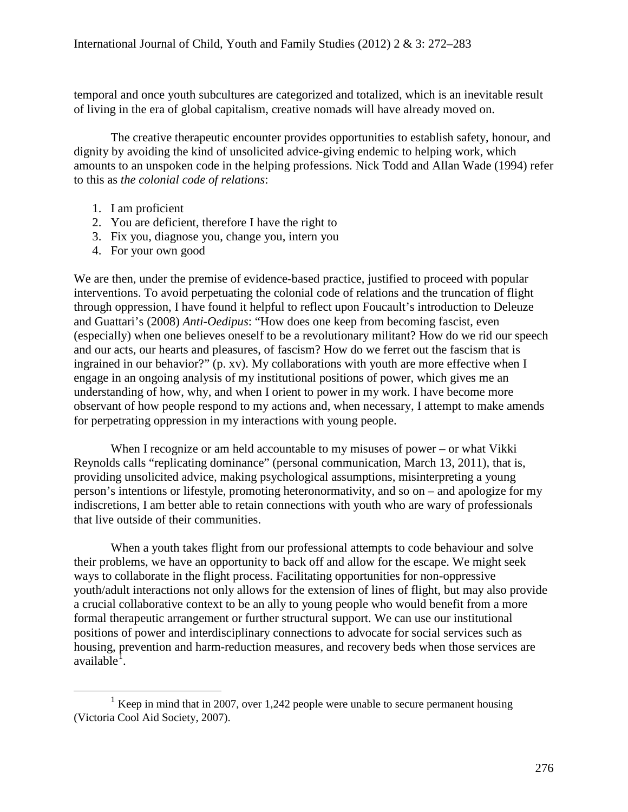temporal and once youth subcultures are categorized and totalized, which is an inevitable result of living in the era of global capitalism, creative nomads will have already moved on.

The creative therapeutic encounter provides opportunities to establish safety, honour, and dignity by avoiding the kind of unsolicited advice-giving endemic to helping work, which amounts to an unspoken code in the helping professions. Nick Todd and Allan Wade (1994) refer to this as *the colonial code of relations*:

- 1. I am proficient
- 2. You are deficient, therefore I have the right to
- 3. Fix you, diagnose you, change you, intern you
- 4. For your own good

We are then, under the premise of evidence-based practice, justified to proceed with popular interventions. To avoid perpetuating the colonial code of relations and the truncation of flight through oppression, I have found it helpful to reflect upon Foucault's introduction to Deleuze and Guattari's (2008) *Anti-Oedipus*: "How does one keep from becoming fascist, even (especially) when one believes oneself to be a revolutionary militant? How do we rid our speech and our acts, our hearts and pleasures, of fascism? How do we ferret out the fascism that is ingrained in our behavior?" (p. xv). My collaborations with youth are more effective when I engage in an ongoing analysis of my institutional positions of power, which gives me an understanding of how, why, and when I orient to power in my work. I have become more observant of how people respond to my actions and, when necessary, I attempt to make amends for perpetrating oppression in my interactions with young people.

When I recognize or am held accountable to my misuses of power – or what Vikki Reynolds calls "replicating dominance" (personal communication, March 13, 2011), that is, providing unsolicited advice, making psychological assumptions, misinterpreting a young person's intentions or lifestyle, promoting heteronormativity, and so on – and apologize for my indiscretions, I am better able to retain connections with youth who are wary of professionals that live outside of their communities.

When a youth takes flight from our professional attempts to code behaviour and solve their problems, we have an opportunity to back off and allow for the escape. We might seek ways to collaborate in the flight process. Facilitating opportunities for non-oppressive youth/adult interactions not only allows for the extension of lines of flight, but may also provide a crucial collaborative context to be an ally to young people who would benefit from a more formal therapeutic arrangement or further structural support. We can use our institutional positions of power and interdisciplinary connections to advocate for social services such as housing, prevention and harm-reduction measures, and recovery beds when those services are available<sup>[1](#page-4-0)</sup>.

<span id="page-4-0"></span><sup>&</sup>lt;sup>1</sup> Keep in mind that in 2007, over 1,242 people were unable to secure permanent housing (Victoria Cool Aid Society, 2007).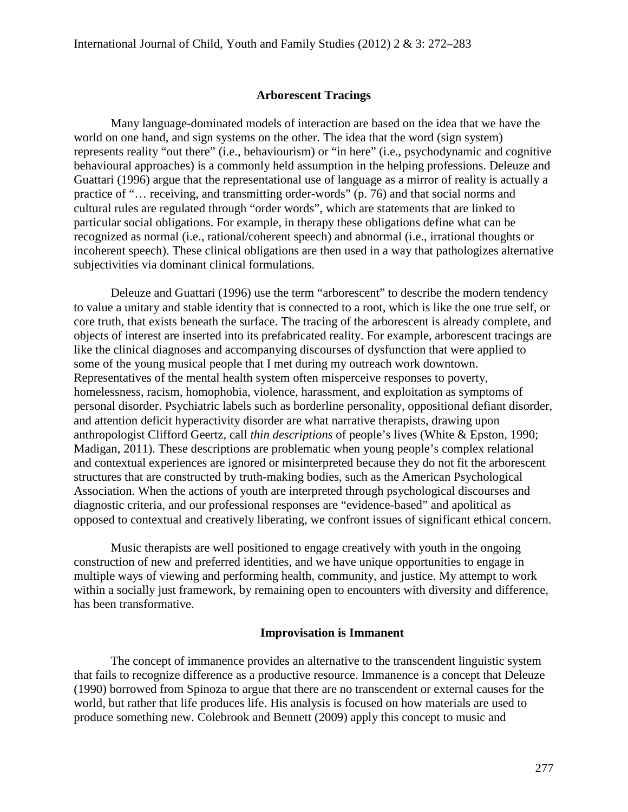#### **Arborescent Tracings**

Many language-dominated models of interaction are based on the idea that we have the world on one hand, and sign systems on the other. The idea that the word (sign system) represents reality "out there" (i.e., behaviourism) or "in here" (i.e., psychodynamic and cognitive behavioural approaches) is a commonly held assumption in the helping professions. Deleuze and Guattari (1996) argue that the representational use of language as a mirror of reality is actually a practice of "… receiving, and transmitting order-words" (p. 76) and that social norms and cultural rules are regulated through "order words", which are statements that are linked to particular social obligations. For example, in therapy these obligations define what can be recognized as normal (i.e., rational/coherent speech) and abnormal (i.e., irrational thoughts or incoherent speech). These clinical obligations are then used in a way that pathologizes alternative subjectivities via dominant clinical formulations.

Deleuze and Guattari (1996) use the term "arborescent" to describe the modern tendency to value a unitary and stable identity that is connected to a root, which is like the one true self, or core truth, that exists beneath the surface. The tracing of the arborescent is already complete, and objects of interest are inserted into its prefabricated reality. For example, arborescent tracings are like the clinical diagnoses and accompanying discourses of dysfunction that were applied to some of the young musical people that I met during my outreach work downtown. Representatives of the mental health system often misperceive responses to poverty, homelessness, racism, homophobia, violence, harassment, and exploitation as symptoms of personal disorder. Psychiatric labels such as borderline personality, oppositional defiant disorder, and attention deficit hyperactivity disorder are what narrative therapists, drawing upon anthropologist Clifford Geertz, call *thin descriptions* of people's lives (White & Epston, 1990; Madigan, 2011). These descriptions are problematic when young people's complex relational and contextual experiences are ignored or misinterpreted because they do not fit the arborescent structures that are constructed by truth-making bodies, such as the American Psychological Association. When the actions of youth are interpreted through psychological discourses and diagnostic criteria, and our professional responses are "evidence-based" and apolitical as opposed to contextual and creatively liberating, we confront issues of significant ethical concern.

Music therapists are well positioned to engage creatively with youth in the ongoing construction of new and preferred identities, and we have unique opportunities to engage in multiple ways of viewing and performing health, community, and justice. My attempt to work within a socially just framework, by remaining open to encounters with diversity and difference, has been transformative.

### **Improvisation is Immanent**

The concept of immanence provides an alternative to the transcendent linguistic system that fails to recognize difference as a productive resource. Immanence is a concept that Deleuze (1990) borrowed from Spinoza to argue that there are no transcendent or external causes for the world, but rather that life produces life. His analysis is focused on how materials are used to produce something new. Colebrook and Bennett (2009) apply this concept to music and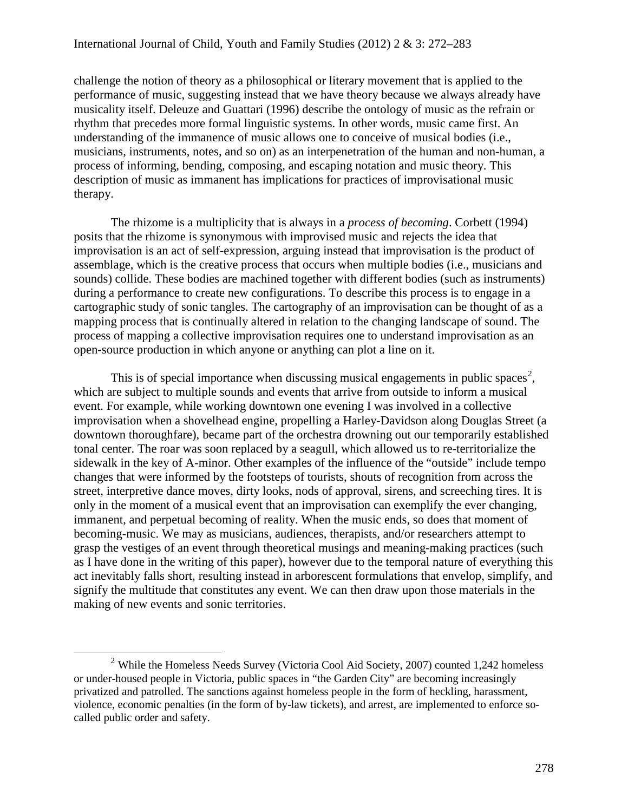challenge the notion of theory as a philosophical or literary movement that is applied to the performance of music, suggesting instead that we have theory because we always already have musicality itself. Deleuze and Guattari (1996) describe the ontology of music as the refrain or rhythm that precedes more formal linguistic systems. In other words, music came first. An understanding of the immanence of music allows one to conceive of musical bodies (i.e., musicians, instruments, notes, and so on) as an interpenetration of the human and non-human, a process of informing, bending, composing, and escaping notation and music theory. This description of music as immanent has implications for practices of improvisational music therapy.

The rhizome is a multiplicity that is always in a *process of becoming*. Corbett (1994) posits that the rhizome is synonymous with improvised music and rejects the idea that improvisation is an act of self-expression, arguing instead that improvisation is the product of assemblage, which is the creative process that occurs when multiple bodies (i.e., musicians and sounds) collide. These bodies are machined together with different bodies (such as instruments) during a performance to create new configurations. To describe this process is to engage in a cartographic study of sonic tangles. The cartography of an improvisation can be thought of as a mapping process that is continually altered in relation to the changing landscape of sound. The process of mapping a collective improvisation requires one to understand improvisation as an open-source production in which anyone or anything can plot a line on it.

This is of special importance when discussing musical engagements in public spaces<sup>[2](#page-6-0)</sup>, which are subject to multiple sounds and events that arrive from outside to inform a musical event. For example, while working downtown one evening I was involved in a collective improvisation when a shovelhead engine, propelling a Harley-Davidson along Douglas Street (a downtown thoroughfare), became part of the orchestra drowning out our temporarily established tonal center. The roar was soon replaced by a seagull, which allowed us to re-territorialize the sidewalk in the key of A-minor. Other examples of the influence of the "outside" include tempo changes that were informed by the footsteps of tourists, shouts of recognition from across the street, interpretive dance moves, dirty looks, nods of approval, sirens, and screeching tires. It is only in the moment of a musical event that an improvisation can exemplify the ever changing, immanent, and perpetual becoming of reality. When the music ends, so does that moment of becoming-music. We may as musicians, audiences, therapists, and/or researchers attempt to grasp the vestiges of an event through theoretical musings and meaning-making practices (such as I have done in the writing of this paper), however due to the temporal nature of everything this act inevitably falls short, resulting instead in arborescent formulations that envelop, simplify, and signify the multitude that constitutes any event. We can then draw upon those materials in the making of new events and sonic territories.

<span id="page-6-0"></span><sup>&</sup>lt;sup>2</sup> While the Homeless Needs Survey (Victoria Cool Aid Society, 2007) counted 1,242 homeless or under-housed people in Victoria, public spaces in "the Garden City" are becoming increasingly privatized and patrolled. The sanctions against homeless people in the form of heckling, harassment, violence, economic penalties (in the form of by-law tickets), and arrest, are implemented to enforce socalled public order and safety.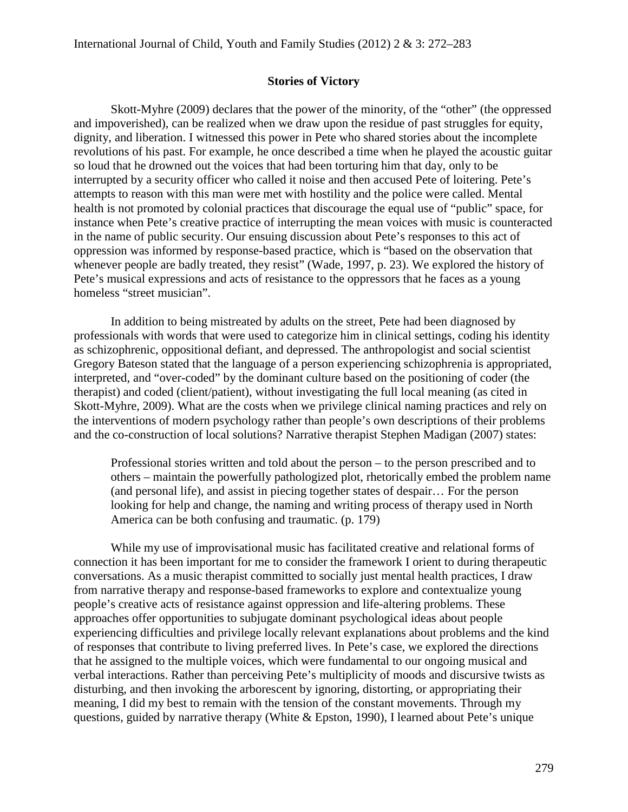### **Stories of Victory**

Skott-Myhre (2009) declares that the power of the minority, of the "other" (the oppressed and impoverished), can be realized when we draw upon the residue of past struggles for equity, dignity, and liberation. I witnessed this power in Pete who shared stories about the incomplete revolutions of his past. For example, he once described a time when he played the acoustic guitar so loud that he drowned out the voices that had been torturing him that day, only to be interrupted by a security officer who called it noise and then accused Pete of loitering. Pete's attempts to reason with this man were met with hostility and the police were called. Mental health is not promoted by colonial practices that discourage the equal use of "public" space, for instance when Pete's creative practice of interrupting the mean voices with music is counteracted in the name of public security. Our ensuing discussion about Pete's responses to this act of oppression was informed by response-based practice, which is "based on the observation that whenever people are badly treated, they resist" (Wade, 1997, p. 23). We explored the history of Pete's musical expressions and acts of resistance to the oppressors that he faces as a young homeless "street musician".

In addition to being mistreated by adults on the street, Pete had been diagnosed by professionals with words that were used to categorize him in clinical settings, coding his identity as schizophrenic, oppositional defiant, and depressed. The anthropologist and social scientist Gregory Bateson stated that the language of a person experiencing schizophrenia is appropriated, interpreted, and "over-coded" by the dominant culture based on the positioning of coder (the therapist) and coded (client/patient), without investigating the full local meaning (as cited in Skott-Myhre, 2009). What are the costs when we privilege clinical naming practices and rely on the interventions of modern psychology rather than people's own descriptions of their problems and the co-construction of local solutions? Narrative therapist Stephen Madigan (2007) states:

Professional stories written and told about the person – to the person prescribed and to others – maintain the powerfully pathologized plot, rhetorically embed the problem name (and personal life), and assist in piecing together states of despair… For the person looking for help and change, the naming and writing process of therapy used in North America can be both confusing and traumatic. (p. 179)

While my use of improvisational music has facilitated creative and relational forms of connection it has been important for me to consider the framework I orient to during therapeutic conversations. As a music therapist committed to socially just mental health practices, I draw from narrative therapy and response-based frameworks to explore and contextualize young people's creative acts of resistance against oppression and life-altering problems. These approaches offer opportunities to subjugate dominant psychological ideas about people experiencing difficulties and privilege locally relevant explanations about problems and the kind of responses that contribute to living preferred lives. In Pete's case, we explored the directions that he assigned to the multiple voices, which were fundamental to our ongoing musical and verbal interactions. Rather than perceiving Pete's multiplicity of moods and discursive twists as disturbing, and then invoking the arborescent by ignoring, distorting, or appropriating their meaning, I did my best to remain with the tension of the constant movements. Through my questions, guided by narrative therapy (White & Epston, 1990), I learned about Pete's unique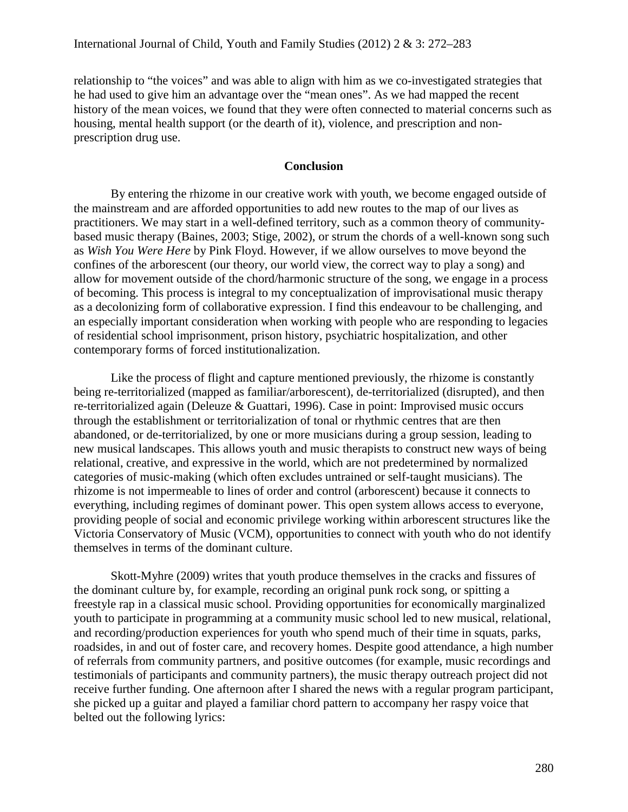relationship to "the voices" and was able to align with him as we co-investigated strategies that he had used to give him an advantage over the "mean ones". As we had mapped the recent history of the mean voices, we found that they were often connected to material concerns such as housing, mental health support (or the dearth of it), violence, and prescription and nonprescription drug use.

## **Conclusion**

By entering the rhizome in our creative work with youth, we become engaged outside of the mainstream and are afforded opportunities to add new routes to the map of our lives as practitioners. We may start in a well-defined territory, such as a common theory of communitybased music therapy (Baines, 2003; Stige, 2002), or strum the chords of a well-known song such as *Wish You Were Here* by Pink Floyd. However, if we allow ourselves to move beyond the confines of the arborescent (our theory, our world view, the correct way to play a song) and allow for movement outside of the chord/harmonic structure of the song, we engage in a process of becoming. This process is integral to my conceptualization of improvisational music therapy as a decolonizing form of collaborative expression. I find this endeavour to be challenging, and an especially important consideration when working with people who are responding to legacies of residential school imprisonment, prison history, psychiatric hospitalization, and other contemporary forms of forced institutionalization.

Like the process of flight and capture mentioned previously, the rhizome is constantly being re-territorialized (mapped as familiar/arborescent), de-territorialized (disrupted), and then re-territorialized again (Deleuze & Guattari, 1996). Case in point: Improvised music occurs through the establishment or territorialization of tonal or rhythmic centres that are then abandoned, or de-territorialized, by one or more musicians during a group session, leading to new musical landscapes. This allows youth and music therapists to construct new ways of being relational, creative, and expressive in the world, which are not predetermined by normalized categories of music-making (which often excludes untrained or self-taught musicians). The rhizome is not impermeable to lines of order and control (arborescent) because it connects to everything, including regimes of dominant power. This open system allows access to everyone, providing people of social and economic privilege working within arborescent structures like the Victoria Conservatory of Music (VCM), opportunities to connect with youth who do not identify themselves in terms of the dominant culture.

Skott-Myhre (2009) writes that youth produce themselves in the cracks and fissures of the dominant culture by, for example, recording an original punk rock song, or spitting a freestyle rap in a classical music school. Providing opportunities for economically marginalized youth to participate in programming at a community music school led to new musical, relational, and recording/production experiences for youth who spend much of their time in squats, parks, roadsides, in and out of foster care, and recovery homes. Despite good attendance, a high number of referrals from community partners, and positive outcomes (for example, music recordings and testimonials of participants and community partners), the music therapy outreach project did not receive further funding. One afternoon after I shared the news with a regular program participant, she picked up a guitar and played a familiar chord pattern to accompany her raspy voice that belted out the following lyrics: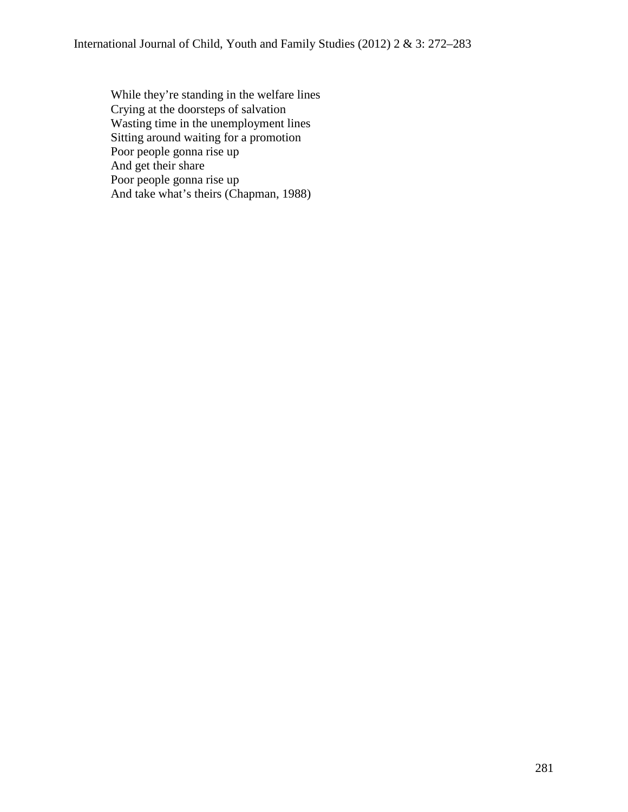While they're standing in the welfare lines Crying at the doorsteps of salvation Wasting time in the unemployment lines Sitting around waiting for a promotion Poor people gonna rise up And get their share Poor people gonna rise up And take what's theirs (Chapman, 1988)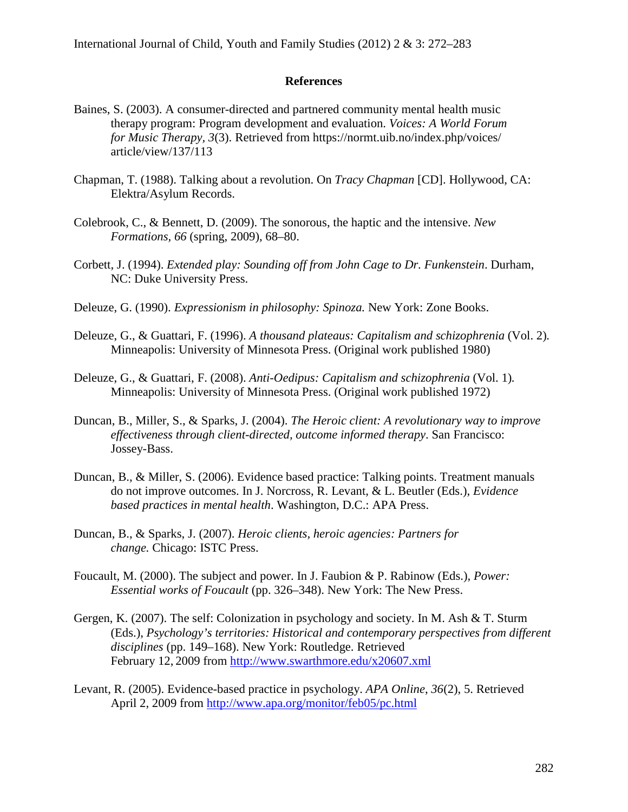### **References**

- Baines, S. (2003). A consumer-directed and partnered community mental health music therapy program: Program development and evaluation. *Voices: A World Forum for Music Therapy, 3*(3). Retrieved from https://normt.uib.no/index.php/voices/ article/view/137/113
- Chapman, T. (1988). Talking about a revolution. On *Tracy Chapman* [CD]. Hollywood, CA: Elektra/Asylum Records.
- Colebrook, C., & Bennett, D. (2009). The sonorous, the haptic and the intensive. *New Formations, 66* (spring, 2009), 68–80.
- Corbett, J. (1994). *Extended play: Sounding off from John Cage to Dr. Funkenstein*. Durham, NC: Duke University Press.
- Deleuze, G. (1990). *Expressionism in philosophy: Spinoza.* New York: Zone Books.
- Deleuze, G., & Guattari, F. (1996). *A thousand plateaus: Capitalism and schizophrenia* (Vol. 2)*.* Minneapolis: University of Minnesota Press. (Original work published 1980)
- Deleuze, G., & Guattari, F. (2008). *Anti-Oedipus: Capitalism and schizophrenia* (Vol. 1)*.* Minneapolis: University of Minnesota Press. (Original work published 1972)
- Duncan, B., Miller, S., & Sparks, J. (2004). *The Heroic client: A revolutionary way to improve effectiveness through client-directed, outcome informed therapy*. San Francisco: Jossey-Bass.
- Duncan, B., & Miller, S. (2006). Evidence based practice: Talking points. Treatment manuals do not improve outcomes. In J. Norcross, R. Levant, & L. Beutler (Eds.), *Evidence based practices in mental health*. Washington, D.C.: APA Press.
- Duncan, B., & Sparks, J. (2007). *Heroic clients, heroic agencies: Partners for change.* Chicago: ISTC Press.
- Foucault, M. (2000). The subject and power. In J. Faubion & P. Rabinow (Eds.), *Power: Essential works of Foucault* (pp. 326–348). New York: The New Press.
- Gergen, K. (2007). The self: Colonization in psychology and society. In M. Ash & T. Sturm (Eds.), *Psychology's territories: Historical and contemporary perspectives from different disciplines* (pp. 149–168). New York: Routledge. Retrieved February 12, 2009 from<http://www.swarthmore.edu/x20607.xml>
- Levant, R. (2005). Evidence-based practice in psychology. *APA Online*, *36*(2), 5. Retrieved April 2, 2009 from<http://www.apa.org/monitor/feb05/pc.html>